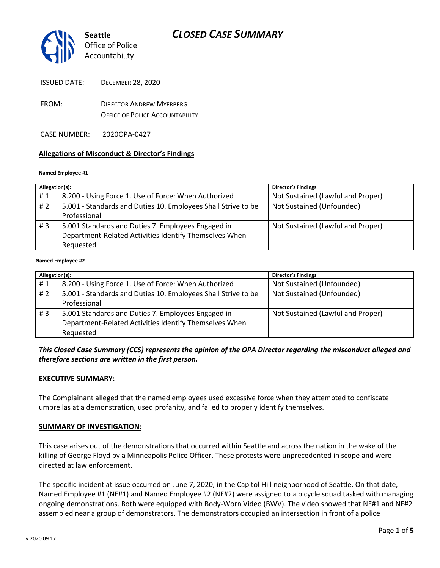

| <b>ISSUED DATE:</b> | <b>DECEMBER 28, 2020</b> |
|---------------------|--------------------------|
|---------------------|--------------------------|

- FROM: DIRECTOR ANDREW MYERBERG OFFICE OF POLICE ACCOUNTABILITY
- CASE NUMBER: 2020OPA-0427

#### **Allegations of Misconduct & Director's Findings**

#### **Named Employee #1**

| Allegation(s): |                                                               | Director's Findings               |
|----------------|---------------------------------------------------------------|-----------------------------------|
| #1             | 8.200 - Using Force 1. Use of Force: When Authorized          | Not Sustained (Lawful and Proper) |
| #2             | 5.001 - Standards and Duties 10. Employees Shall Strive to be | Not Sustained (Unfounded)         |
|                | Professional                                                  |                                   |
| # $3$          | 5.001 Standards and Duties 7. Employees Engaged in            | Not Sustained (Lawful and Proper) |
|                | Department-Related Activities Identify Themselves When        |                                   |
|                | Requested                                                     |                                   |
|                |                                                               |                                   |

#### **Named Employee #2**

| Allegation(s): |                                                               | <b>Director's Findings</b>        |
|----------------|---------------------------------------------------------------|-----------------------------------|
| #1             | 8.200 - Using Force 1. Use of Force: When Authorized          | Not Sustained (Unfounded)         |
| #2             | 5.001 - Standards and Duties 10. Employees Shall Strive to be | Not Sustained (Unfounded)         |
|                | Professional                                                  |                                   |
| #3             | 5.001 Standards and Duties 7. Employees Engaged in            | Not Sustained (Lawful and Proper) |
|                | Department-Related Activities Identify Themselves When        |                                   |
|                | Requested                                                     |                                   |

### *This Closed Case Summary (CCS) represents the opinion of the OPA Director regarding the misconduct alleged and therefore sections are written in the first person.*

#### **EXECUTIVE SUMMARY:**

The Complainant alleged that the named employees used excessive force when they attempted to confiscate umbrellas at a demonstration, used profanity, and failed to properly identify themselves.

#### **SUMMARY OF INVESTIGATION:**

This case arises out of the demonstrations that occurred within Seattle and across the nation in the wake of the killing of George Floyd by a Minneapolis Police Officer. These protests were unprecedented in scope and were directed at law enforcement.

The specific incident at issue occurred on June 7, 2020, in the Capitol Hill neighborhood of Seattle. On that date, Named Employee #1 (NE#1) and Named Employee #2 (NE#2) were assigned to a bicycle squad tasked with managing ongoing demonstrations. Both were equipped with Body-Worn Video (BWV). The video showed that NE#1 and NE#2 assembled near a group of demonstrators. The demonstrators occupied an intersection in front of a police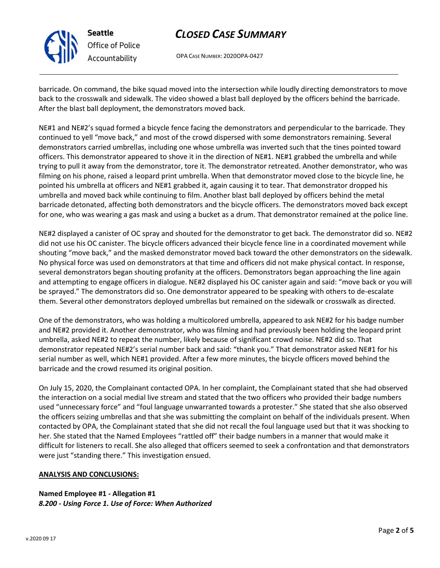

**Seattle** *Office of Police Accountability*

# *CLOSED CASE SUMMARY*

OPA CASE NUMBER: 2020OPA-0427

barricade. On command, the bike squad moved into the intersection while loudly directing demonstrators to move back to the crosswalk and sidewalk. The video showed a blast ball deployed by the officers behind the barricade. After the blast ball deployment, the demonstrators moved back.

NE#1 and NE#2's squad formed a bicycle fence facing the demonstrators and perpendicular to the barricade. They continued to yell "move back," and most of the crowd dispersed with some demonstrators remaining. Several demonstrators carried umbrellas, including one whose umbrella was inverted such that the tines pointed toward officers. This demonstrator appeared to shove it in the direction of NE#1. NE#1 grabbed the umbrella and while trying to pull it away from the demonstrator, tore it. The demonstrator retreated. Another demonstrator, who was filming on his phone, raised a leopard print umbrella. When that demonstrator moved close to the bicycle line, he pointed his umbrella at officers and NE#1 grabbed it, again causing it to tear. That demonstrator dropped his umbrella and moved back while continuing to film. Another blast ball deployed by officers behind the metal barricade detonated, affecting both demonstrators and the bicycle officers. The demonstrators moved back except for one, who was wearing a gas mask and using a bucket as a drum. That demonstrator remained at the police line.

NE#2 displayed a canister of OC spray and shouted for the demonstrator to get back. The demonstrator did so. NE#2 did not use his OC canister. The bicycle officers advanced their bicycle fence line in a coordinated movement while shouting "move back," and the masked demonstrator moved back toward the other demonstrators on the sidewalk. No physical force was used on demonstrators at that time and officers did not make physical contact. In response, several demonstrators began shouting profanity at the officers. Demonstrators began approaching the line again and attempting to engage officers in dialogue. NE#2 displayed his OC canister again and said: "move back or you will be sprayed." The demonstrators did so. One demonstrator appeared to be speaking with others to de-escalate them. Several other demonstrators deployed umbrellas but remained on the sidewalk or crosswalk as directed.

One of the demonstrators, who was holding a multicolored umbrella, appeared to ask NE#2 for his badge number and NE#2 provided it. Another demonstrator, who was filming and had previously been holding the leopard print umbrella, asked NE#2 to repeat the number, likely because of significant crowd noise. NE#2 did so. That demonstrator repeated NE#2's serial number back and said: "thank you." That demonstrator asked NE#1 for his serial number as well, which NE#1 provided. After a few more minutes, the bicycle officers moved behind the barricade and the crowd resumed its original position.

On July 15, 2020, the Complainant contacted OPA. In her complaint, the Complainant stated that she had observed the interaction on a social medial live stream and stated that the two officers who provided their badge numbers used "unnecessary force" and "foul language unwarranted towards a protester." She stated that she also observed the officers seizing umbrellas and that she was submitting the complaint on behalf of the individuals present. When contacted by OPA, the Complainant stated that she did not recall the foul language used but that it was shocking to her. She stated that the Named Employees "rattled off" their badge numbers in a manner that would make it difficult for listeners to recall. She also alleged that officers seemed to seek a confrontation and that demonstrators were just "standing there." This investigation ensued.

### **ANALYSIS AND CONCLUSIONS:**

**Named Employee #1 - Allegation #1** *8.200 - Using Force 1. Use of Force: When Authorized*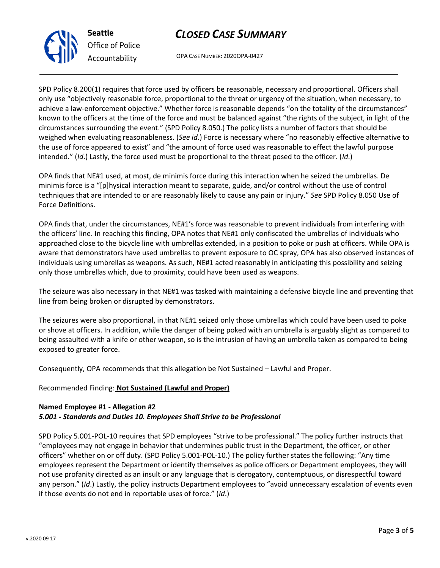# *CLOSED CASE SUMMARY*

OPA CASE NUMBER: 2020OPA-0427

SPD Policy 8.200(1) requires that force used by officers be reasonable, necessary and proportional. Officers shall only use "objectively reasonable force, proportional to the threat or urgency of the situation, when necessary, to achieve a law-enforcement objective." Whether force is reasonable depends "on the totality of the circumstances" known to the officers at the time of the force and must be balanced against "the rights of the subject, in light of the circumstances surrounding the event." (SPD Policy 8.050.) The policy lists a number of factors that should be weighed when evaluating reasonableness. (*See id*.) Force is necessary where "no reasonably effective alternative to the use of force appeared to exist" and "the amount of force used was reasonable to effect the lawful purpose intended." (*Id*.) Lastly, the force used must be proportional to the threat posed to the officer. (*Id*.)

OPA finds that NE#1 used, at most, de minimis force during this interaction when he seized the umbrellas. De minimis force is a "[p]hysical interaction meant to separate, guide, and/or control without the use of control techniques that are intended to or are reasonably likely to cause any pain or injury." *See* SPD Policy 8.050 Use of Force Definitions.

OPA finds that, under the circumstances, NE#1's force was reasonable to prevent individuals from interfering with the officers' line. In reaching this finding, OPA notes that NE#1 only confiscated the umbrellas of individuals who approached close to the bicycle line with umbrellas extended, in a position to poke or push at officers. While OPA is aware that demonstrators have used umbrellas to prevent exposure to OC spray, OPA has also observed instances of individuals using umbrellas as weapons. As such, NE#1 acted reasonably in anticipating this possibility and seizing only those umbrellas which, due to proximity, could have been used as weapons.

The seizure was also necessary in that NE#1 was tasked with maintaining a defensive bicycle line and preventing that line from being broken or disrupted by demonstrators.

The seizures were also proportional, in that NE#1 seized only those umbrellas which could have been used to poke or shove at officers. In addition, while the danger of being poked with an umbrella is arguably slight as compared to being assaulted with a knife or other weapon, so is the intrusion of having an umbrella taken as compared to being exposed to greater force.

Consequently, OPA recommends that this allegation be Not Sustained – Lawful and Proper.

### Recommended Finding: **Not Sustained (Lawful and Proper)**

### **Named Employee #1 - Allegation #2** *5.001 - Standards and Duties 10. Employees Shall Strive to be Professional*

SPD Policy 5.001-POL-10 requires that SPD employees "strive to be professional." The policy further instructs that "employees may not engage in behavior that undermines public trust in the Department, the officer, or other officers" whether on or off duty. (SPD Policy 5.001-POL-10.) The policy further states the following: "Any time employees represent the Department or identify themselves as police officers or Department employees, they will not use profanity directed as an insult or any language that is derogatory, contemptuous, or disrespectful toward any person." (*Id*.) Lastly, the policy instructs Department employees to "avoid unnecessary escalation of events even if those events do not end in reportable uses of force." (*Id*.)



*Office of Police Accountability*

**Seattle**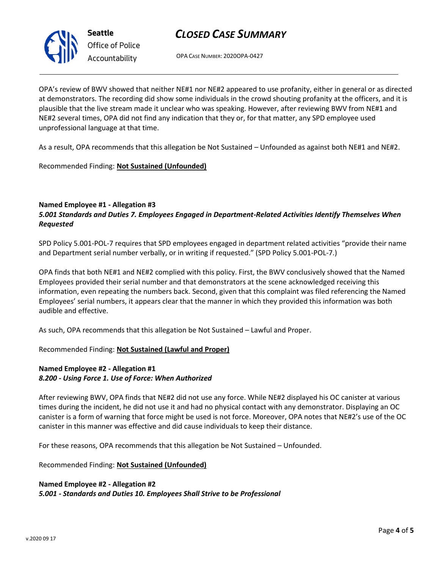

*Office of Police Accountability*

# *CLOSED CASE SUMMARY*

OPA CASE NUMBER: 2020OPA-0427

OPA's review of BWV showed that neither NE#1 nor NE#2 appeared to use profanity, either in general or as directed at demonstrators. The recording did show some individuals in the crowd shouting profanity at the officers, and it is plausible that the live stream made it unclear who was speaking. However, after reviewing BWV from NE#1 and NE#2 several times, OPA did not find any indication that they or, for that matter, any SPD employee used unprofessional language at that time.

As a result, OPA recommends that this allegation be Not Sustained – Unfounded as against both NE#1 and NE#2.

Recommended Finding: **Not Sustained (Unfounded)**

## **Named Employee #1 - Allegation #3**

## *5.001 Standards and Duties 7. Employees Engaged in Department-Related Activities Identify Themselves When Requested*

SPD Policy 5.001-POL-7 requires that SPD employees engaged in department related activities "provide their name and Department serial number verbally, or in writing if requested." (SPD Policy 5.001-POL-7.)

OPA finds that both NE#1 and NE#2 complied with this policy. First, the BWV conclusively showed that the Named Employees provided their serial number and that demonstrators at the scene acknowledged receiving this information, even repeating the numbers back. Second, given that this complaint was filed referencing the Named Employees' serial numbers, it appears clear that the manner in which they provided this information was both audible and effective.

As such, OPA recommends that this allegation be Not Sustained – Lawful and Proper.

## Recommended Finding: **Not Sustained (Lawful and Proper)**

### **Named Employee #2 - Allegation #1** *8.200 - Using Force 1. Use of Force: When Authorized*

After reviewing BWV, OPA finds that NE#2 did not use any force. While NE#2 displayed his OC canister at various times during the incident, he did not use it and had no physical contact with any demonstrator. Displaying an OC canister is a form of warning that force might be used is not force. Moreover, OPA notes that NE#2's use of the OC canister in this manner was effective and did cause individuals to keep their distance.

For these reasons, OPA recommends that this allegation be Not Sustained – Unfounded.

Recommended Finding: **Not Sustained (Unfounded)**

## **Named Employee #2 - Allegation #2** *5.001 - Standards and Duties 10. Employees Shall Strive to be Professional*